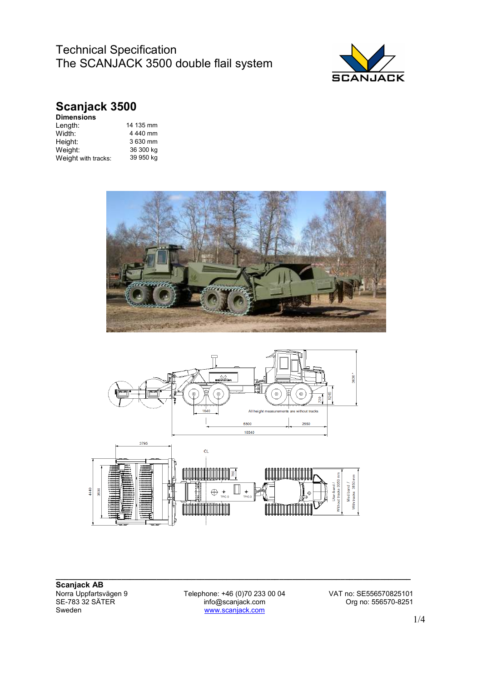

# **Scanjack 3500**

| <b>Dimensions</b>   |           |
|---------------------|-----------|
| Length:             | 14 135 mm |
| Width:              | 4440 mm   |
| Height:             | 3 630 mm  |
| Weight:             | 36 300 kg |
| Weight with tracks: | 39 950 kg |
|                     |           |





**\_\_\_\_\_\_\_\_\_\_\_\_\_\_\_\_\_\_\_\_\_\_\_\_\_\_\_\_\_\_\_\_\_\_\_\_\_\_\_\_\_\_\_\_\_\_\_\_\_\_\_\_\_\_\_\_\_\_\_\_\_\_\_\_\_\_\_\_\_\_\_\_\_\_\_\_\_\_\_\_\_ Scanjack AB** Norra Uppfartsvägen 9<br>SE-783 32 SÄTER<br>Sweden

www.scanjack.com

Telephone: +46 (0)70 233 00 04 VAT no: SE556570825101<br>info@scanjack.com Org no: 556570-8251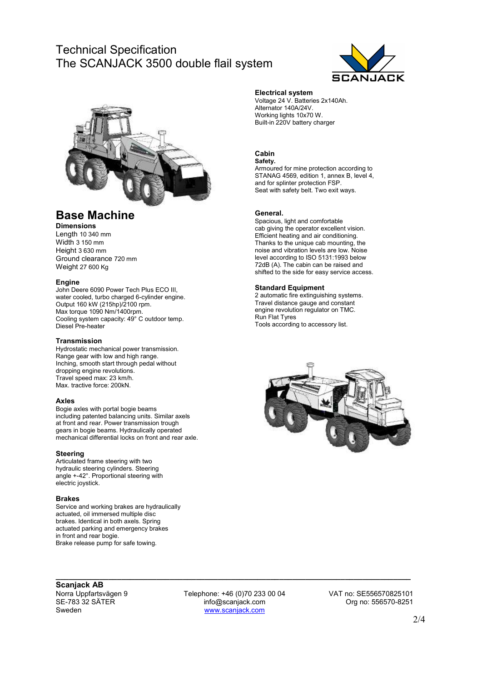

### **Base Machine**

**Dimensions** 

Length 10 340 mm Width 3 150 mm Height 3 630 mm Ground clearance 720 mm Weight 27 600 Kg

#### **Engine**

John Deere 6090 Power Tech Plus ECO III, water cooled, turbo charged 6-cylinder engine. Output 160 kW (215hp)/2100 rpm. Max torque 1090 Nm/1400rpm. Cooling system capacity: 49° C outdoor temp. Diesel Pre-heater

#### **Transmission**

Hydrostatic mechanical power transmission. Range gear with low and high range. Inching, smooth start through pedal without dropping engine revolutions. Travel speed max: 23 km/h. Max. tractive force: 200kN.

#### **Axles**

Bogie axles with portal bogie beams including patented balancing units. Similar axels at front and rear. Power transmission trough gears in bogie beams. Hydraulically operated mechanical differential locks on front and rear axle.

#### **Steering**

Articulated frame steering with two hydraulic steering cylinders. Steering angle +-42°. Proportional steering with electric joystick.

#### **Brakes**

Service and working brakes are hydraulically actuated, oil immersed multiple disc brakes. Identical in both axels. Spring actuated parking and emergency brakes in front and rear bogie. Brake release pump for safe towing.

#### **Electrical system**

Voltage 24 V. Batteries 2x140Ah. Alternator 140A/24V. Working lights 10x70 W. Built-in 220V battery charger

#### **Cabin Safety.**

Armoured for mine protection according to STANAG 4569, edition 1, annex B, level 4, and for splinter protection FSP. Seat with safety belt. Two exit ways.

#### **General.**

Spacious, light and comfortable cab giving the operator excellent vision. Efficient heating and air conditioning. Thanks to the unique cab mounting, the noise and vibration levels are low. Noise level according to ISO 5131:1993 below 72dB (A). The cabin can be raised and shifted to the side for easy service access.

#### **Standard Equipment**

2 automatic fire extinguishing systems. Travel distance gauge and constant engine revolution regulator on TMC. Run Flat Tyres Tools according to accessory list.



### **Scanjack AB**

Norra Uppfartsvägen 9 Telephone: +46 (0)70 233 00 04 VAT no: SE556570825101 SE-783 32 SÄTER info@scanjack.com Org no: 556570-8251 www.scanjack.com

**\_\_\_\_\_\_\_\_\_\_\_\_\_\_\_\_\_\_\_\_\_\_\_\_\_\_\_\_\_\_\_\_\_\_\_\_\_\_\_\_\_\_\_\_\_\_\_\_\_\_\_\_\_\_\_\_\_\_\_\_\_\_\_\_\_\_\_\_\_\_\_\_\_\_\_\_\_\_\_\_\_**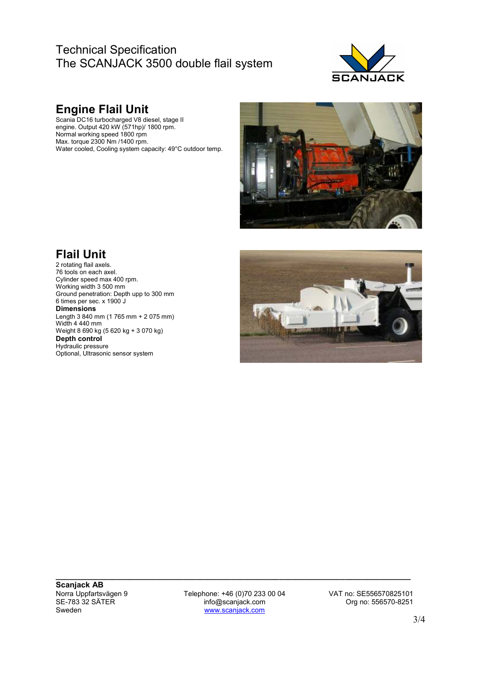

# **Engine Flail Unit**

Scania DC16 turbocharged V8 diesel, stage II engine. Output 420 kW (571hp)/ 1800 rpm. Normal working speed 1800 rpm Max. torque 2300 Nm /1400 rpm. Water cooled, Cooling system capacity: 49°C outdoor temp.



# **Flail Unit**

2 rotating flail axels. 76 tools on each axel. Cylinder speed max 400 rpm. Working width 3 500 mm Ground penetration: Depth upp to 300 mm 6 times per sec. x 1900 J **Dimensions**  Length 3 840 mm (1 765 mm + 2 075 mm) Width 4 440 mm Weight 8 690 kg (5 620 kg + 3 070 kg) **Depth control**  Hydraulic pressure Optional, Ultrasonic sensor system



**\_\_\_\_\_\_\_\_\_\_\_\_\_\_\_\_\_\_\_\_\_\_\_\_\_\_\_\_\_\_\_\_\_\_\_\_\_\_\_\_\_\_\_\_\_\_\_\_\_\_\_\_\_\_\_\_\_\_\_\_\_\_\_\_\_\_\_\_\_\_\_\_\_\_\_\_\_\_\_\_\_ Scanjack AB**<br>Norra Uppfartsvägen 9

Norra Uppfartsvägen 9 Telephone: +46 (0)70 233 00 04 VAT no: SE556570825101<br>SE-783 32 SÄTER info@scanjack.com Crg no: 556570-8251 SE-783 32 SÄTER info@scanjack.com Org no: 556570-8251 www.scanjack.com